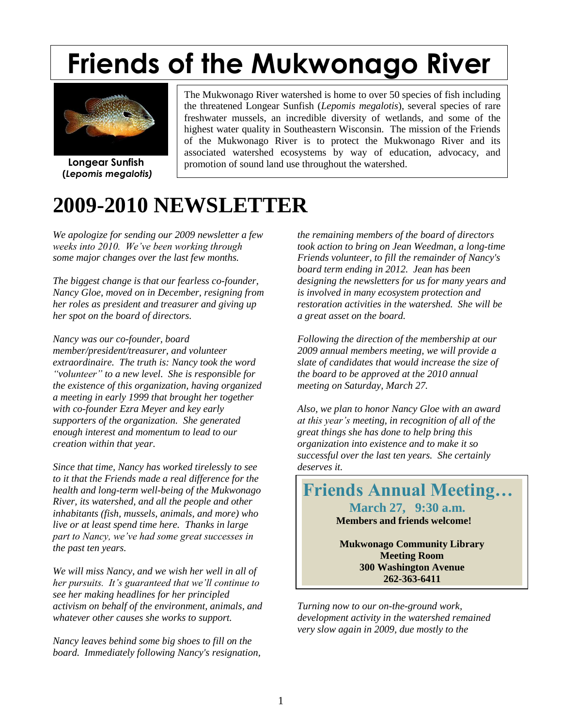# **Friends of the Mukwonago River**



 **Longear Sunfish (***Lepomis megalotis)*

The Mukwonago River watershed is home to over 50 species of fish including the threatened Longear Sunfish (*Lepomis megalotis*), several species of rare freshwater mussels, an incredible diversity of wetlands, and some of the highest water quality in Southeastern Wisconsin. The mission of the Friends of the Mukwonago River is to protect the Mukwonago River and its associated watershed ecosystems by way of education, advocacy, and promotion of sound land use throughout the watershed.

## **2009-2010 NEWSLETTER**

*We apologize for sending our 2009 newsletter a few weeks into 2010. We've been working through some major changes over the last few months.* 

*The biggest change is that our fearless co-founder, Nancy Gloe, moved on in December, resigning from her roles as president and treasurer and giving up her spot on the board of directors.* 

*Nancy was our co-founder, board member/president/treasurer, and volunteer extraordinaire. The truth is: Nancy took the word "volunteer" to a new level. She is responsible for the existence of this organization, having organized a meeting in early 1999 that brought her together with co-founder Ezra Meyer and key early supporters of the organization. She generated enough interest and momentum to lead to our creation within that year.*

*Since that time, Nancy has worked tirelessly to see to it that the Friends made a real difference for the health and long-term well-being of the Mukwonago River, its watershed, and all the people and other inhabitants (fish, mussels, animals, and more) who live or at least spend time here. Thanks in large part to Nancy, we've had some great successes in the past ten years.* 

*We will miss Nancy, and we wish her well in all of her pursuits. It's guaranteed that we'll continue to see her making headlines for her principled activism on behalf of the environment, animals, and whatever other causes she works to support.*

*Nancy leaves behind some big shoes to fill on the board. Immediately following Nancy's resignation,*  *the remaining members of the board of directors took action to bring on Jean Weedman, a long-time Friends volunteer, to fill the remainder of Nancy's board term ending in 2012. Jean has been designing the newsletters for us for many years and is involved in many ecosystem protection and restoration activities in the watershed. She will be a great asset on the board.*

*Following the direction of the membership at our 2009 annual members meeting, we will provide a slate of candidates that would increase the size of the board to be approved at the 2010 annual meeting on Saturday, March 27.* 

*Also, we plan to honor Nancy Gloe with an award at this year's meeting, in recognition of all of the great things she has done to help bring this organization into existence and to make it so successful over the last ten years. She certainly deserves it.* 

**Friends Annual Meeting… March 27, 9:30 a.m. Members and friends welcome!**

> **Mukwonago Community Library Meeting Room 300 Washington Avenue 262-363-6411**

*Turning now to our on-the-ground work, development activity in the watershed remained very slow again in 2009, due mostly to the*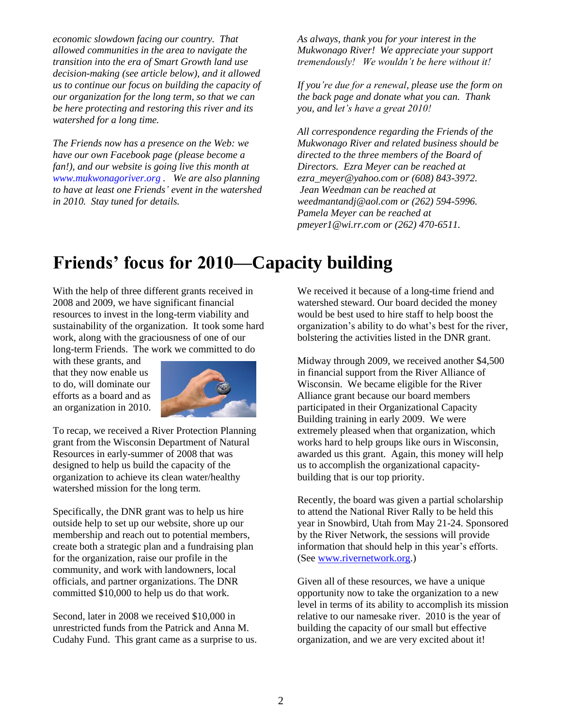*economic slowdown facing our country. That allowed communities in the area to navigate the transition into the era of Smart Growth land use decision-making (see article below), and it allowed us to continue our focus on building the capacity of our organization for the long term, so that we can be here protecting and restoring this river and its watershed for a long time.* 

*The Friends now has a presence on the Web: we have our own Facebook page (please become a fan!), and our website is going live this month at www.mukwonagoriver.org . We are also planning to have at least one Friends' event in the watershed in 2010. Stay tuned for details.*

*As always, thank you for your interest in the Mukwonago River! We appreciate your support tremendously! We wouldn't be here without it!* 

*If you're due for a renewal, please use the form on the back page and donate what you can. Thank you, and let's have a great 2010!*

*All correspondence regarding the Friends of the Mukwonago River and related business should be directed to the three members of the Board of Directors. Ezra Meyer can be reached at ezra\_meyer@yahoo.com or (608) 843-3972. Jean Weedman can be reached at weedmantandj@aol.com or (262) 594-5996. Pamela Meyer can be reached at pmeyer1@wi.rr.com or (262) 470-6511.*

## **Friends' focus for 2010—Capacity building**

With the help of three different grants received in 2008 and 2009, we have significant financial resources to invest in the long-term viability and sustainability of the organization. It took some hard work, along with the graciousness of one of our long-term Friends. The work we committed to do

with these grants, and that they now enable us to do, will dominate our efforts as a board and as an organization in 2010.



To recap, we received a River Protection Planning grant from the Wisconsin Department of Natural Resources in early-summer of 2008 that was designed to help us build the capacity of the organization to achieve its clean water/healthy watershed mission for the long term.

Specifically, the DNR grant was to help us hire outside help to set up our website, shore up our membership and reach out to potential members, create both a strategic plan and a fundraising plan for the organization, raise our profile in the community, and work with landowners, local officials, and partner organizations. The DNR committed \$10,000 to help us do that work.

Second, later in 2008 we received \$10,000 in unrestricted funds from the Patrick and Anna M. Cudahy Fund. This grant came as a surprise to us. We received it because of a long-time friend and watershed steward. Our board decided the money would be best used to hire staff to help boost the organization's ability to do what's best for the river, bolstering the activities listed in the DNR grant.

Midway through 2009, we received another \$4,500 in financial support from the River Alliance of Wisconsin. We became eligible for the River Alliance grant because our board members participated in their Organizational Capacity Building training in early 2009. We were extremely pleased when that organization, which works hard to help groups like ours in Wisconsin, awarded us this grant. Again, this money will help us to accomplish the organizational capacitybuilding that is our top priority.

Recently, the board was given a partial scholarship to attend the National River Rally to be held this year in Snowbird, Utah from May 21-24. Sponsored by the River Network, the sessions will provide information that should help in this year's efforts. (See [www.rivernetwork.org.](www.rivernetwork.org))

Given all of these resources, we have a unique opportunity now to take the organization to a new level in terms of its ability to accomplish its mission relative to our namesake river. 2010 is the year of building the capacity of our small but effective organization, and we are very excited about it!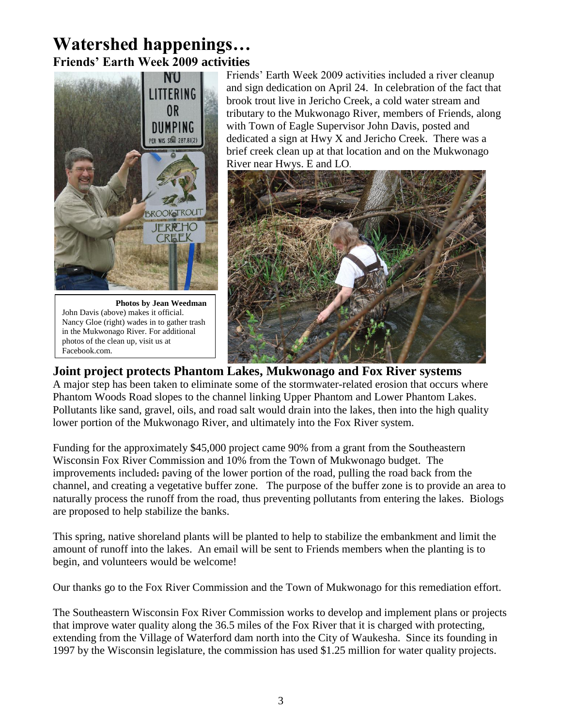### **Watershed happenings… Friends' Earth Week 2009 activities**



 **Photos by Jean Weedman** John Davis (above) makes it official. Nancy Gloe (right) wades in to gather trash in the Mukwonago River. For additional photos of the clean up, visit us at Facebook.com.

Friends' Earth Week 2009 activities included a river cleanup and sign dedication on April 24. In celebration of the fact that brook trout live in Jericho Creek, a cold water stream and tributary to the Mukwonago River, members of Friends, along with Town of Eagle Supervisor John Davis, posted and dedicated a sign at Hwy X and Jericho Creek. There was a brief creek clean up at that location and on the Mukwonago River near Hwys. E and LO.



#### **Joint project protects Phantom Lakes, Mukwonago and Fox River systems**

A major step has been taken to eliminate some of the stormwater-related erosion that occurs where Phantom Woods Road slopes to the channel linking Upper Phantom and Lower Phantom Lakes. Pollutants like sand, gravel, oils, and road salt would drain into the lakes, then into the high quality lower portion of the Mukwonago River, and ultimately into the Fox River system.

Funding for the approximately \$45,000 project came 90% from a grant from the Southeastern Wisconsin Fox River Commission and 10% from the Town of Mukwonago budget. The improvements included**:** paving of the lower portion of the road, pulling the road back from the channel, and creating a vegetative buffer zone. The purpose of the buffer zone is to provide an area to naturally process the runoff from the road, thus preventing pollutants from entering the lakes. Biologs are proposed to help stabilize the banks.

This spring, native shoreland plants will be planted to help to stabilize the embankment and limit the amount of runoff into the lakes. An email will be sent to Friends members when the planting is to begin, and volunteers would be welcome!

Our thanks go to the Fox River Commission and the Town of Mukwonago for this remediation effort.

The Southeastern Wisconsin Fox River Commission works to develop and implement plans or projects that improve water quality along the 36.5 miles of the Fox River that it is charged with protecting, extending from the Village of Waterford dam north into the City of Waukesha. Since its founding in 1997 by the Wisconsin legislature, the commission has used \$1.25 million for water quality projects.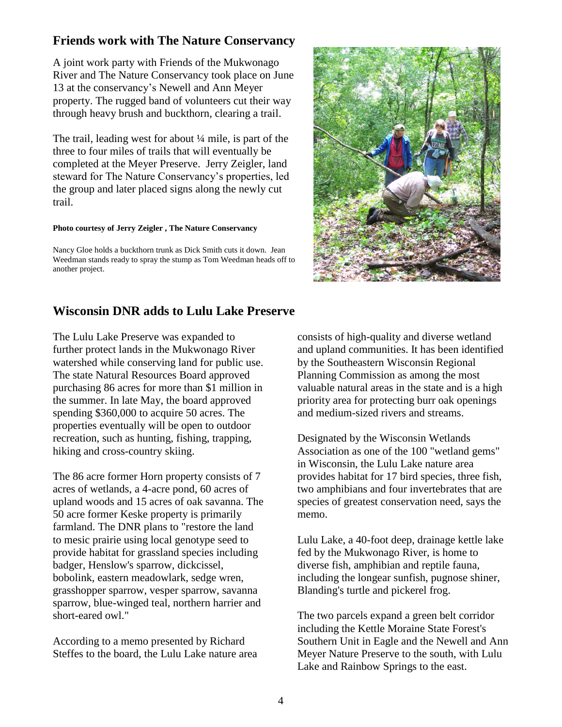#### **Friends work with The Nature Conservancy**

A joint work party with Friends of the Mukwonago River and The Nature Conservancy took place on June 13 at the conservancy's Newell and Ann Meyer property. The rugged band of volunteers cut their way through heavy brush and buckthorn, clearing a trail.

The trail, leading west for about ¼ mile, is part of the three to four miles of trails that will eventually be completed at the Meyer Preserve. Jerry Zeigler, land steward for The Nature Conservancy's properties, led the group and later placed signs along the newly cut trail.

#### **Photo courtesy of Jerry Zeigler , The Nature Conservancy**

Nancy Gloe holds a buckthorn trunk as Dick Smith cuts it down. Jean Weedman stands ready to spray the stump as Tom Weedman heads off to another project.



#### **Wisconsin DNR adds to Lulu Lake Preserve**

The Lulu Lake Preserve was expanded to further protect lands in the Mukwonago River watershed while conserving land for public use. The state Natural Resources Board approved purchasing 86 acres for more than \$1 million in the summer. In late May, the board approved spending \$360,000 to acquire 50 acres. The properties eventually will be open to outdoor recreation, such as hunting, fishing, trapping, hiking and cross-country skiing.

The 86 acre former Horn property consists of 7 acres of wetlands, a 4-acre pond, 60 acres of upland woods and 15 acres of oak savanna. The 50 acre former Keske property is primarily farmland. The DNR plans to "restore the land to mesic prairie using local genotype seed to provide habitat for grassland species including badger, Henslow's sparrow, dickcissel, bobolink, eastern meadowlark, sedge wren, grasshopper sparrow, vesper sparrow, savanna sparrow, blue-winged teal, northern harrier and short-eared owl."

According to a memo presented by Richard Steffes to the board, the Lulu Lake nature area consists of high-quality and diverse wetland and upland communities. It has been identified by the Southeastern Wisconsin Regional Planning Commission as among the most valuable natural areas in the state and is a high priority area for protecting burr oak openings and medium-sized rivers and streams.

Designated by the Wisconsin Wetlands Association as one of the 100 "wetland gems" in Wisconsin, the Lulu Lake nature area provides habitat for 17 bird species, three fish, two amphibians and four invertebrates that are species of greatest conservation need, says the memo.

Lulu Lake, a 40-foot deep, drainage kettle lake fed by the Mukwonago River, is home to diverse fish, amphibian and reptile fauna, including the longear sunfish, pugnose shiner, Blanding's turtle and pickerel frog.

The two parcels expand a green belt corridor including the Kettle Moraine State Forest's Southern Unit in Eagle and the Newell and Ann Meyer Nature Preserve to the south, with Lulu Lake and Rainbow Springs to the east.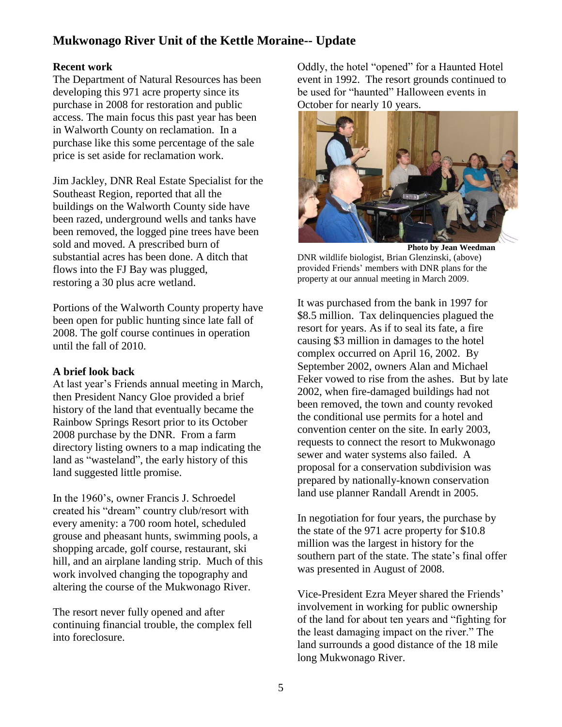#### **Mukwonago River Unit of the Kettle Moraine-- Update**

#### **Recent work**

The Department of Natural Resources has been developing this 971 acre property since its purchase in 2008 for restoration and public access. The main focus this past year has been in Walworth County on reclamation. In a purchase like this some percentage of the sale price is set aside for reclamation work.

Jim Jackley, DNR Real Estate Specialist for the Southeast Region, reported that all the buildings on the Walworth County side have been razed, underground wells and tanks have been removed, the logged pine trees have been sold and moved. A prescribed burn of substantial acres has been done. A ditch that flows into the FJ Bay was plugged, restoring a 30 plus acre wetland.

Portions of the Walworth County property have been open for public hunting since late fall of 2008. The golf course continues in operation until the fall of 2010.

#### **A brief look back**

At last year's Friends annual meeting in March, then President Nancy Gloe provided a brief history of the land that eventually became the Rainbow Springs Resort prior to its October 2008 purchase by the DNR. From a farm directory listing owners to a map indicating the land as "wasteland", the early history of this land suggested little promise.

In the 1960's, owner Francis J. Schroedel created his "dream" country club/resort with every amenity: a 700 room hotel, scheduled grouse and pheasant hunts, swimming pools, a shopping arcade, golf course, restaurant, ski hill, and an airplane landing strip. Much of this work involved changing the topography and altering the course of the Mukwonago River.

The resort never fully opened and after continuing financial trouble, the complex fell into foreclosure.

Oddly, the hotel "opened" for a Haunted Hotel event in 1992. The resort grounds continued to be used for "haunted" Halloween events in October for nearly 10 years.



 **Photo by Jean Weedman** DNR wildlife biologist, Brian Glenzinski, (above) provided Friends' members with DNR plans for the property at our annual meeting in March 2009.

It was purchased from the bank in 1997 for \$8.5 million. Tax delinquencies plagued the resort for years. As if to seal its fate, a fire causing \$3 million in damages to the hotel complex occurred on April 16, 2002. By September 2002, owners Alan and Michael Feker vowed to rise from the ashes. But by late 2002, when fire-damaged buildings had not been removed, the town and county revoked the conditional use permits for a hotel and convention center on the site. In early 2003, requests to connect the resort to Mukwonago sewer and water systems also failed. A proposal for a conservation subdivision was prepared by nationally-known conservation land use planner Randall Arendt in 2005.

In negotiation for four years, the purchase by the state of the 971 acre property for \$10.8 million was the largest in history for the southern part of the state. The state's final offer was presented in August of 2008.

Vice-President Ezra Meyer shared the Friends' involvement in working for public ownership of the land for about ten years and "fighting for the least damaging impact on the river." The land surrounds a good distance of the 18 mile long Mukwonago River.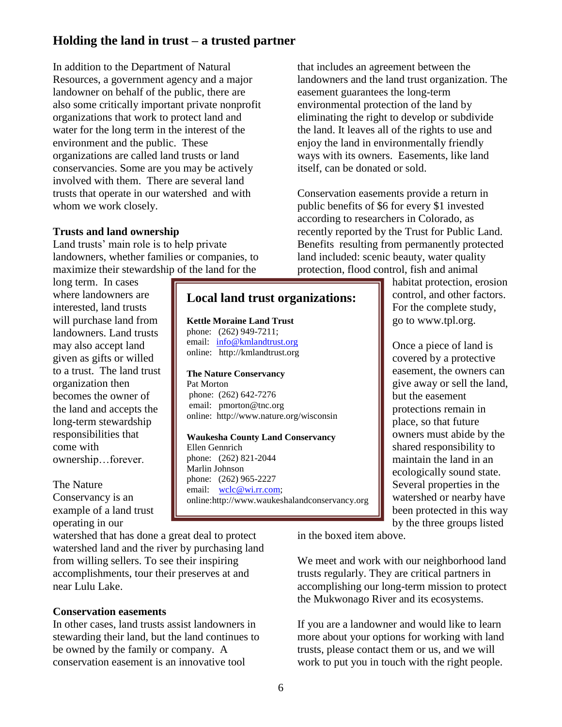#### **Holding the land in trust – a trusted partner**

In addition to the Department of Natural Resources, a government agency and a major landowner on behalf of the public, there are also some critically important private nonprofit organizations that work to protect land and water for the long term in the interest of the environment and the public. These organizations are called land trusts or land conservancies. Some are you may be actively involved with them. There are several land trusts that operate in our watershed and with whom we work closely.

#### **Trusts and land ownership**

Land trusts' main role is to help private landowners, whether families or companies, to maximize their stewardship of the land for the

long term. In cases where landowners are interested, land trusts will purchase land from landowners. Land trusts may also accept land given as gifts or willed to a trust. The land trust organization then becomes the owner of the land and accepts the long-term stewardship responsibilities that come with ownership…forever.

#### The Nature Conservancy is an example of a land trust operating in our

watershed that has done a great deal to protect watershed land and the river by purchasing land from willing sellers. To see their inspiring accomplishments, tour their preserves at and near Lulu Lake.

#### **Conservation easements**

In other cases, land trusts assist landowners in stewarding their land, but the land continues to be owned by the family or company. A conservation easement is an innovative tool

that includes an agreement between the landowners and the land trust organization. The easement guarantees the long-term environmental protection of the land by eliminating the right to develop or subdivide the land. It leaves all of the rights to use and enjoy the land in environmentally friendly ways with its owners. Easements, like land itself, can be donated or sold.

Conservation easements provide a return in public benefits of \$6 for every \$1 invested according to researchers in Colorado, as recently reported by the Trust for Public Land. Benefits resulting from permanently protected land included: scenic beauty, water quality protection, flood control, fish and animal

> habitat protection, erosion control, and other factors. For the complete study, go to www.tpl.org.

> Once a piece of land is covered by a protective easement, the owners can give away or sell the land, but the easement protections remain in place, so that future owners must abide by the shared responsibility to maintain the land in an ecologically sound state. Several properties in the watershed or nearby have been protected in this way by the three groups listed

in the boxed item above.

We meet and work with our neighborhood land trusts regularly. They are critical partners in accomplishing our long-term mission to protect the Mukwonago River and its ecosystems.

If you are a landowner and would like to learn more about your options for working with land trusts, please contact them or us, and we will work to put you in touch with the right people.

**Local land trust organizations:**

online: http://www.nature.org/wisconsin

**Waukesha County Land Conservancy**

online:http://www.waukeshalandconservancy.org

**Kettle Moraine Land Trust** phone: (262) 949-7211; email: [info@kmlandtrust.org](mailto:info@kmlandtrust.org) online: http://kmlandtrust.org

**The Nature Conservancy**

phone: (262) 642-7276 email: pmorton@tnc.org

phone: (262) 821-2044

phone: (262) 965-2227 email: [wclc@wi.rr.com;](mailto:wclc@wi.rr.com)

Pat Morton

Ellen Gennrich

Marlin Johnson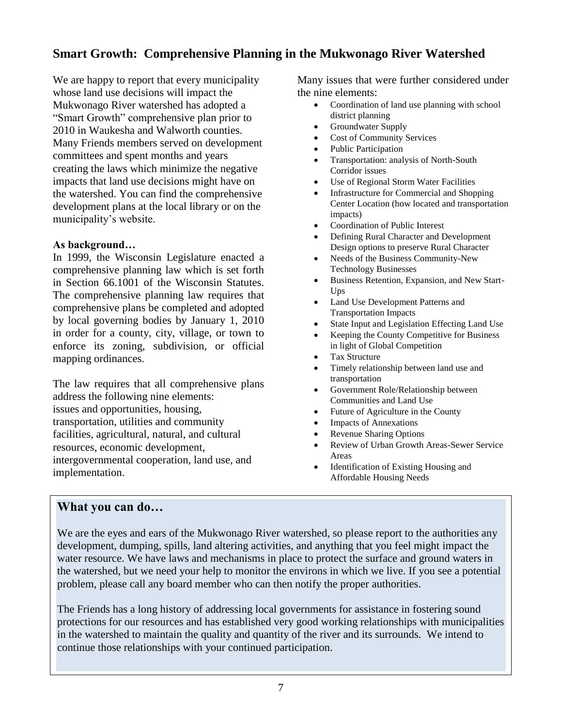#### **Smart Growth: Comprehensive Planning in the Mukwonago River Watershed**

We are happy to report that every municipality whose land use decisions will impact the Mukwonago River watershed has adopted a "Smart Growth" comprehensive plan prior to 2010 in Waukesha and Walworth counties. Many Friends members served on development committees and spent months and years creating the laws which minimize the negative impacts that land use decisions might have on the watershed. You can find the comprehensive development plans at the local library or on the municipality's website.

#### **As background…**

In 1999, the Wisconsin Legislature enacted a comprehensive planning law which is set forth in Section 66.1001 of the Wisconsin Statutes. The comprehensive planning law requires that comprehensive plans be completed and adopted by local governing bodies by January 1, 2010 in order for a county, city, village, or town to enforce its zoning, subdivision, or official mapping ordinances.

The law requires that all comprehensive plans address the following nine elements: issues and opportunities, housing, transportation, utilities and community facilities, agricultural, natural, and cultural resources, economic development, intergovernmental cooperation, land use, and implementation.

Many issues that were further considered under the nine elements:

- Coordination of land use planning with school district planning
- Groundwater Supply
- Cost of Community Services
- Public Participation
- Transportation: analysis of North-South Corridor issues
- Use of Regional Storm Water Facilities
- Infrastructure for Commercial and Shopping Center Location (how located and transportation impacts)
- Coordination of Public Interest
- Defining Rural Character and Development Design options to preserve Rural Character
- Needs of the Business Community-New Technology Businesses
- Business Retention, Expansion, and New Start-Ups
- Land Use Development Patterns and Transportation Impacts
- State Input and Legislation Effecting Land Use
- Keeping the County Competitive for Business in light of Global Competition
- Tax Structure
- Timely relationship between land use and transportation
- Government Role/Relationship between Communities and Land Use
- Future of Agriculture in the County
- Impacts of Annexations
- Revenue Sharing Options
- Review of Urban Growth Areas-Sewer Service Areas
- Identification of Existing Housing and Affordable Housing Needs

#### . **What you can do…**

We are the eyes and ears of the Mukwonago River watershed, so please report to the authorities any development, dumping, spills, land altering activities, and anything that you feel might impact the water resource. We have laws and mechanisms in place to protect the surface and ground waters in the watershed, but we need your help to monitor the environs in which we live. If you see a potential problem, please call any board member who can then notify the proper authorities.

The Friends has a long history of addressing local governments for assistance in fostering sound protections for our resources and has established very good working relationships with municipalities in the watershed to maintain the quality and quantity of the river and its surrounds. We intend to continue those relationships with your continued participation.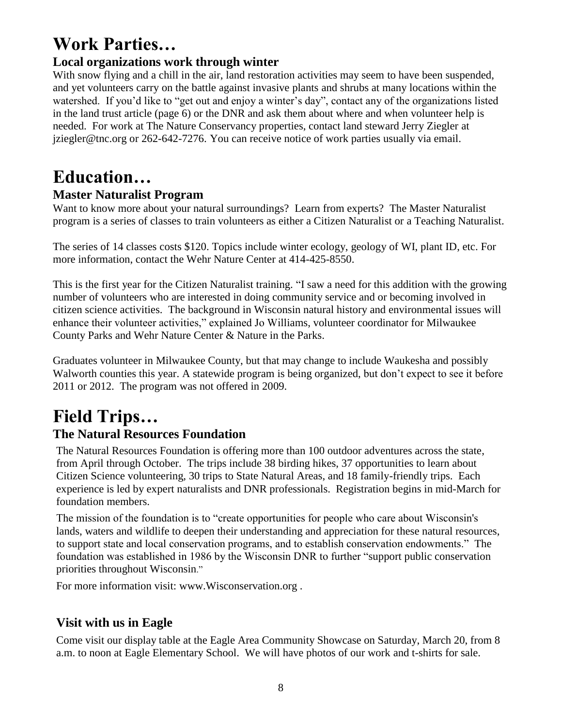## **Work Parties…**

#### **Local organizations work through winter**

With snow flying and a chill in the air, land restoration activities may seem to have been suspended, and yet volunteers carry on the battle against invasive plants and shrubs at many locations within the watershed. If you'd like to "get out and enjoy a winter's day", contact any of the organizations listed in the land trust article (page 6) or the DNR and ask them about where and when volunteer help is needed. For work at The Nature Conservancy properties, contact land steward Jerry Ziegler at jziegler@tnc.org or 262-642-7276. You can receive notice of work parties usually via email.

## **Education…**

#### **Master Naturalist Program**

Want to know more about your natural surroundings? Learn from experts? The Master Naturalist program is a series of classes to train volunteers as either a Citizen Naturalist or a Teaching Naturalist.

The series of 14 classes costs \$120. Topics include winter ecology, geology of WI, plant ID, etc. For more information, contact the Wehr Nature Center at 414-425-8550.

This is the first year for the Citizen Naturalist training. "I saw a need for this addition with the growing number of volunteers who are interested in doing community service and or becoming involved in citizen science activities. The background in Wisconsin natural history and environmental issues will enhance their volunteer activities," explained Jo Williams, volunteer coordinator for Milwaukee County Parks and Wehr Nature Center & Nature in the Parks.

Graduates volunteer in Milwaukee County, but that may change to include Waukesha and possibly Walworth counties this year. A statewide program is being organized, but don't expect to see it before 2011 or 2012. The program was not offered in 2009.

## **Field Trips…**

#### **The Natural Resources Foundation**

The Natural Resources Foundation is offering more than 100 outdoor adventures across the state, from April through October. The trips include 38 birding hikes, 37 opportunities to learn about Citizen Science volunteering, 30 trips to State Natural Areas, and 18 family-friendly trips. Each experience is led by expert naturalists and DNR professionals. Registration begins in mid-March for foundation members.

The mission of the foundation is to "create opportunities for people who care about Wisconsin's lands, waters and wildlife to deepen their understanding and appreciation for these natural resources, to support state and local conservation programs, and to establish conservation endowments." The foundation was established in 1986 by the Wisconsin DNR to further "support public conservation priorities throughout Wisconsin."

For more information visit: www.Wisconservation.org .

#### **Visit with us in Eagle**

Come visit our display table at the Eagle Area Community Showcase on Saturday, March 20, from 8 a.m. to noon at Eagle Elementary School. We will have photos of our work and t-shirts for sale.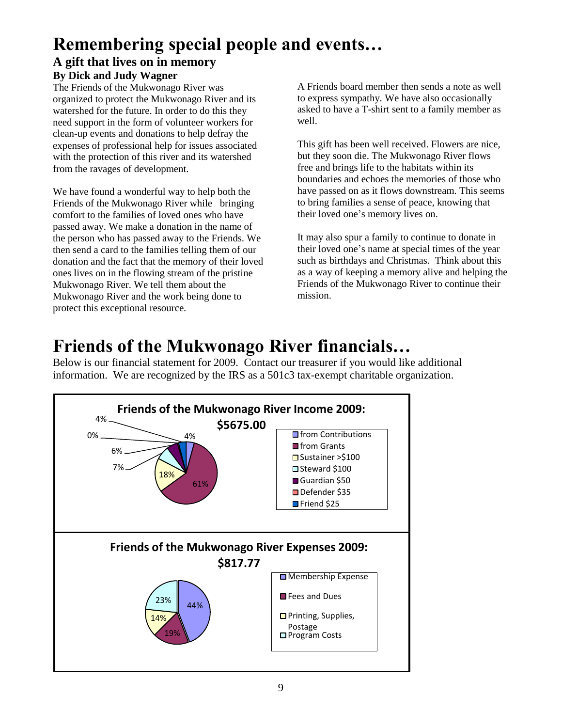## **Remembering special people and events…**

#### **A gift that lives on in memory By Dick and Judy Wagner**

The Friends of the Mukwonago River was organized to protect the Mukwonago River and its watershed for the future. In order to do this they need support in the form of volunteer workers for clean-up events and donations to help defray the expenses of professional help for issues associated with the protection of this river and its watershed from the ravages of development.

We have found a wonderful way to help both the Friends of the Mukwonago River while bringing comfort to the families of loved ones who have passed away. We make a donation in the name of the person who has passed away to the Friends. We then send a card to the families telling them of our donation and the fact that the memory of their loved ones lives on in the flowing stream of the pristine Mukwonago River. We tell them about the Mukwonago River and the work being done to protect this exceptional resource.

A Friends board member then sends a note as well to express sympathy. We have also occasionally asked to have a T-shirt sent to a family member as well.

This gift has been well received. Flowers are nice, but they soon die. The Mukwonago River flows free and brings life to the habitats within its boundaries and echoes the memories of those who have passed on as it flows downstream. This seems to bring families a sense of peace, knowing that their loved one's memory lives on.

It may also spur a family to continue to donate in their loved one's name at special times of the year such as birthdays and Christmas. Think about this as a way of keeping a memory alive and helping the Friends of the Mukwonago River to continue their mission.

## **Friends of the Mukwonago River financials…**

Below is our financial statement for 2009. Contact our treasurer if you would like additional information. We are recognized by the IRS as a 501c3 tax-exempt charitable organization.